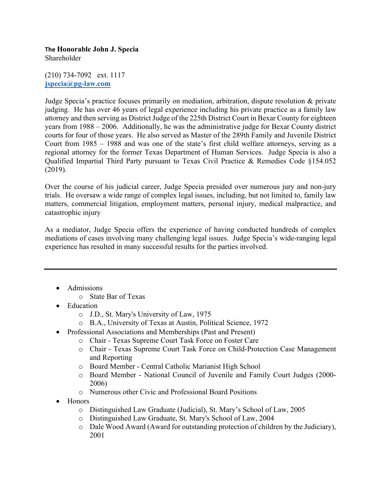**The Honorable John J. Specia** Shareholder

(210) 734-7092 ext. 1117 **jspecia@pg-law.com**

Judge Specia's practice focuses primarily on mediation, arbitration, dispute resolution & private judging. He has over 46 years of legal experience including his private practice as a family law attorney and then serving as District Judge of the 225th District Court in Bexar County for eighteen years from 1988 – 2006. Additionally, he was the administrative judge for Bexar County district courts for four of those years. He also served as Master of the 289th Family and Juvenile District Court from 1985 – 1988 and was one of the state's first child welfare attorneys, serving as a regional attorney for the former Texas Department of Human Services. Judge Specia is also a Qualified Impartial Third Party pursuant to Texas Civil Practice & Remedies Code §154.052 (2019).

Over the course of his judicial career, Judge Specia presided over numerous jury and non-jury trials. He oversaw a wide range of complex legal issues, including, but not limited to, family law matters, commercial litigation, employment matters, personal injury, medical malpractice, and catastrophic injury

As a mediator, Judge Specia offers the experience of having conducted hundreds of complex mediations of cases involving many challenging legal issues. Judge Specia's wide-ranging legal experience has resulted in many successful results for the parties involved.

- Admissions
	- o State Bar of Texas
- Education
	- o J.D., St. Mary's University of Law, 1975
	- o B.A., University of Texas at Austin, Political Science, 1972
- Professional Associations and Memberships (Past and Present)
	- o Chair Texas Supreme Court Task Force on Foster Care
	- o Chair Texas Supreme Court Task Force on Child-Protection Case Management and Reporting
	- o Board Member Central Catholic Marianist High School
	- o Board Member National Council of Juvenile and Family Court Judges (2000- 2006)
	- o Numerous other Civic and Professional Board Positions
- Honors
	- o Distinguished Law Graduate (Judicial), St. Mary's School of Law, 2005
	- o Distinguished Law Graduate, St. Mary's School of Law, 2004
	- o Dale Wood Award (Award for outstanding protection of children by the Judiciary), 2001